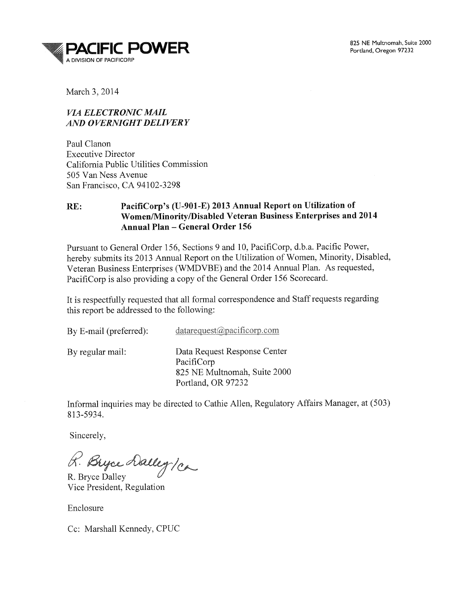825 NE Multnomah, Suite 2000 Portland, Oregon 97232



March 3, 2014

### *VIA ELECTRONIC MAIL AND OVERNIGHT DELIVERY*

Paul Clanon Executive Director California Public Utilities Commission 505 Van Ness Avenue San Francisco, CA 94102-3298

### RE: PacifiCorp's (U-901-E) 2013 Annual Report on Utilization of Women/Minority/Disabled Veteran Business Enterprises and <sup>2014</sup> Annual Plan - General Order 156

Pursuant to General Order 156, Sections 9 and 10, PacifiCorp, d.b.a. Pacific Power, hereby submits its 2013 Annual Report on the Utilization of Women, Minority, Disabled, Veteran Business Enterprises (WMDVBE) and the 2014 Annual Plan. As requested, PacifiCorp is also providing a copy of the General Order 156 Scorecard.

It is respectfully requested that all formal correspondence and Staff requests regarding this report be addressed to the following:

| By E-mail (preferred): | $data request(\alpha) pacificorp.com$                                                            |
|------------------------|--------------------------------------------------------------------------------------------------|
| By regular mail:       | Data Request Response Center<br>PacifiCorp<br>825 NE Multnomah, Suite 2000<br>Portland, OR 97232 |

Informal inquiries may be directed to Cathie Allen, Regulatory Affairs Manager, at (503) 813-5934.

Sincerely,

R. Bryce Dalleg/ca

Vice President, Regulation

Enclosure

Cc: Marshall Kennedy, CPUC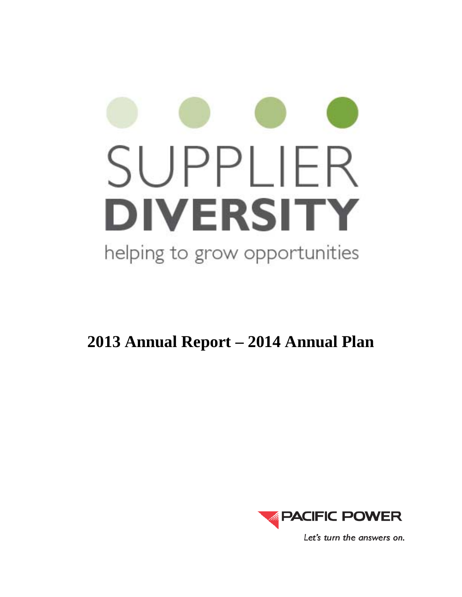

# **2013 Annual Report – 2014 Annual Plan**



Let's turn the answers on.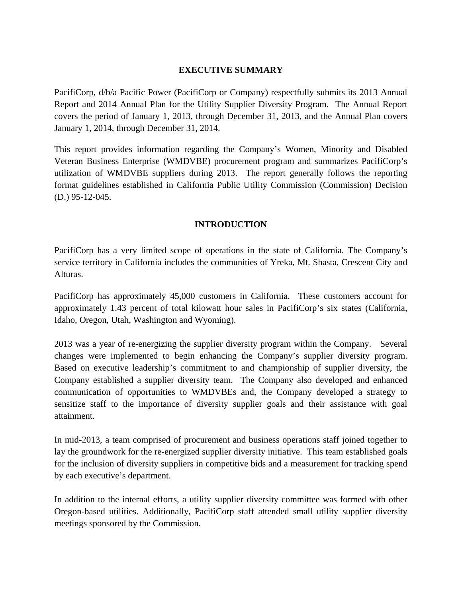### **EXECUTIVE SUMMARY**

PacifiCorp, d/b/a Pacific Power (PacifiCorp or Company) respectfully submits its 2013 Annual Report and 2014 Annual Plan for the Utility Supplier Diversity Program. The Annual Report covers the period of January 1, 2013, through December 31, 2013, and the Annual Plan covers January 1, 2014, through December 31, 2014.

This report provides information regarding the Company's Women, Minority and Disabled Veteran Business Enterprise (WMDVBE) procurement program and summarizes PacifiCorp's utilization of WMDVBE suppliers during 2013. The report generally follows the reporting format guidelines established in California Public Utility Commission (Commission) Decision (D.) 95-12-045.

# **INTRODUCTION**

PacifiCorp has a very limited scope of operations in the state of California. The Company's service territory in California includes the communities of Yreka, Mt. Shasta, Crescent City and Alturas.

PacifiCorp has approximately 45,000 customers in California. These customers account for approximately 1.43 percent of total kilowatt hour sales in PacifiCorp's six states (California, Idaho, Oregon, Utah, Washington and Wyoming).

2013 was a year of re-energizing the supplier diversity program within the Company. Several changes were implemented to begin enhancing the Company's supplier diversity program. Based on executive leadership's commitment to and championship of supplier diversity, the Company established a supplier diversity team. The Company also developed and enhanced communication of opportunities to WMDVBEs and, the Company developed a strategy to sensitize staff to the importance of diversity supplier goals and their assistance with goal attainment.

In mid-2013, a team comprised of procurement and business operations staff joined together to lay the groundwork for the re-energized supplier diversity initiative. This team established goals for the inclusion of diversity suppliers in competitive bids and a measurement for tracking spend by each executive's department.

In addition to the internal efforts, a utility supplier diversity committee was formed with other Oregon-based utilities. Additionally, PacifiCorp staff attended small utility supplier diversity meetings sponsored by the Commission.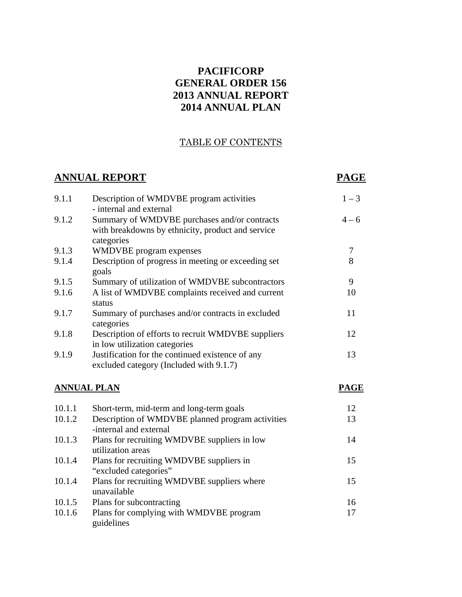# **PACIFICORP GENERAL ORDER 156 2013 ANNUAL REPORT 2014 ANNUAL PLAN**

# TABLE OF CONTENTS

# **ANNUAL REPORT PAGE**

| 9.1.1 | Description of WMDVBE program activities<br>- internal and external                                             | $1 - 3$ |
|-------|-----------------------------------------------------------------------------------------------------------------|---------|
| 9.1.2 | Summary of WMDVBE purchases and/or contracts<br>with breakdowns by ethnicity, product and service<br>categories | $4 - 6$ |
| 9.1.3 | WMDVBE program expenses                                                                                         | 7       |
| 9.1.4 | Description of progress in meeting or exceeding set<br>goals                                                    | 8       |
| 9.1.5 | Summary of utilization of WMDVBE subcontractors                                                                 | 9       |
| 9.1.6 | A list of WMDVBE complaints received and current<br>status                                                      | 10      |
| 9.1.7 | Summary of purchases and/or contracts in excluded<br>categories                                                 | 11      |
| 9.1.8 | Description of efforts to recruit WMDVBE suppliers<br>in low utilization categories                             | 12      |
| 9.1.9 | Justification for the continued existence of any<br>excluded category (Included with 9.1.7)                     | 13      |

# **ANNUAL PLAN** PAGE

| 10.1.1 | Short-term, mid-term and long-term goals                                   | 12 |
|--------|----------------------------------------------------------------------------|----|
| 10.1.2 | Description of WMDVBE planned program activities<br>-internal and external | 13 |
| 10.1.3 | Plans for recruiting WMDVBE suppliers in low<br>utilization areas          | 14 |
| 10.1.4 | Plans for recruiting WMDVBE suppliers in<br>"excluded categories"          | 15 |
| 10.1.4 | Plans for recruiting WMDVBE suppliers where<br>unavailable                 | 15 |
| 10.1.5 | Plans for subcontracting                                                   | 16 |
| 10.1.6 | Plans for complying with WMDVBE program<br>guidelines                      | 17 |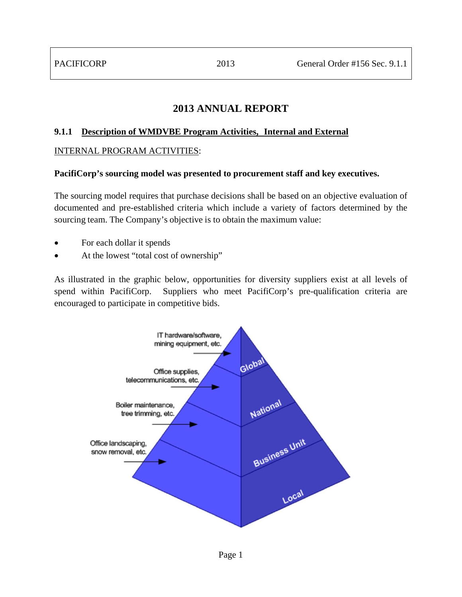# **2013 ANNUAL REPORT**

### **9.1.1 Description of WMDVBE Program Activities, Internal and External**

### INTERNAL PROGRAM ACTIVITIES:

#### **PacifiCorp's sourcing model was presented to procurement staff and key executives.**

The sourcing model requires that purchase decisions shall be based on an objective evaluation of documented and pre-established criteria which include a variety of factors determined by the sourcing team. The Company's objective is to obtain the maximum value:

- For each dollar it spends
- At the lowest "total cost of ownership"

As illustrated in the graphic below, opportunities for diversity suppliers exist at all levels of spend within PacifiCorp. Suppliers who meet PacifiCorp's pre-qualification criteria are encouraged to participate in competitive bids.

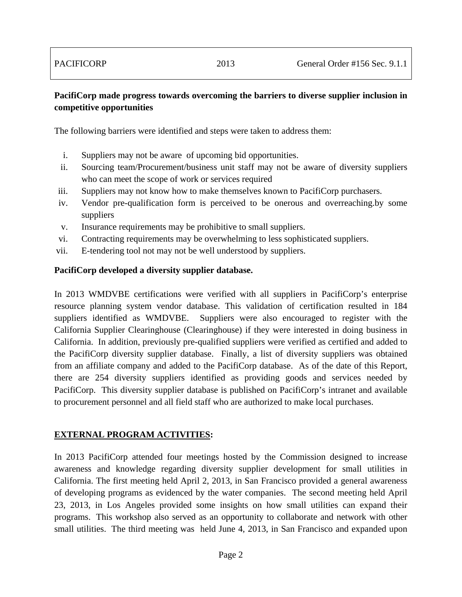# **PacifiCorp made progress towards overcoming the barriers to diverse supplier inclusion in competitive opportunities**

The following barriers were identified and steps were taken to address them:

- i. Suppliers may not be aware of upcoming bid opportunities.
- ii. Sourcing team/Procurement/business unit staff may not be aware of diversity suppliers who can meet the scope of work or services required
- iii. Suppliers may not know how to make themselves known to PacifiCorp purchasers.
- iv. Vendor pre-qualification form is perceived to be onerous and overreaching.by some suppliers
- v. Insurance requirements may be prohibitive to small suppliers.
- vi. Contracting requirements may be overwhelming to less sophisticated suppliers.
- vii. E-tendering tool not may not be well understood by suppliers.

### **PacifiCorp developed a diversity supplier database.**

In 2013 WMDVBE certifications were verified with all suppliers in PacifiCorp's enterprise resource planning system vendor database. This validation of certification resulted in 184 suppliers identified as WMDVBE. Suppliers were also encouraged to register with the California Supplier Clearinghouse (Clearinghouse) if they were interested in doing business in California. In addition, previously pre-qualified suppliers were verified as certified and added to the PacifiCorp diversity supplier database. Finally, a list of diversity suppliers was obtained from an affiliate company and added to the PacifiCorp database. As of the date of this Report, there are 254 diversity suppliers identified as providing goods and services needed by PacifiCorp. This diversity supplier database is published on PacifiCorp's intranet and available to procurement personnel and all field staff who are authorized to make local purchases.

#### **EXTERNAL PROGRAM ACTIVITIES:**

In 2013 PacifiCorp attended four meetings hosted by the Commission designed to increase awareness and knowledge regarding diversity supplier development for small utilities in California. The first meeting held April 2, 2013, in San Francisco provided a general awareness of developing programs as evidenced by the water companies. The second meeting held April 23, 2013, in Los Angeles provided some insights on how small utilities can expand their programs. This workshop also served as an opportunity to collaborate and network with other small utilities. The third meeting was held June 4, 2013, in San Francisco and expanded upon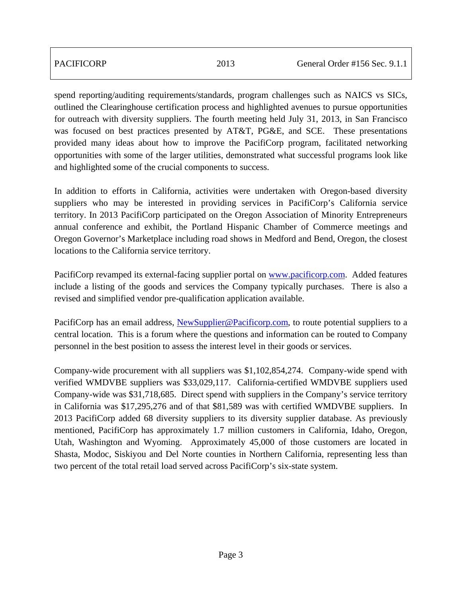| <b>PACIFICORP</b> | 2013 | General Order #156 Sec. 9.1.1 |
|-------------------|------|-------------------------------|
|                   |      |                               |

spend reporting/auditing requirements/standards, program challenges such as NAICS vs SICs, outlined the Clearinghouse certification process and highlighted avenues to pursue opportunities for outreach with diversity suppliers. The fourth meeting held July 31, 2013, in San Francisco was focused on best practices presented by AT&T, PG&E, and SCE. These presentations provided many ideas about how to improve the PacifiCorp program, facilitated networking opportunities with some of the larger utilities, demonstrated what successful programs look like and highlighted some of the crucial components to success.

In addition to efforts in California, activities were undertaken with Oregon-based diversity suppliers who may be interested in providing services in PacifiCorp's California service territory. In 2013 PacifiCorp participated on the Oregon Association of Minority Entrepreneurs annual conference and exhibit, the Portland Hispanic Chamber of Commerce meetings and Oregon Governor's Marketplace including road shows in Medford and Bend, Oregon, the closest locations to the California service territory.

PacifiCorp revamped its external-facing supplier portal on www.pacificorp.com. Added features include a listing of the goods and services the Company typically purchases. There is also a revised and simplified vendor pre-qualification application available.

PacifiCorp has an email address, NewSupplier@Pacificorp.com, to route potential suppliers to a central location. This is a forum where the questions and information can be routed to Company personnel in the best position to assess the interest level in their goods or services.

Company-wide procurement with all suppliers was \$1,102,854,274. Company-wide spend with verified WMDVBE suppliers was \$33,029,117. California-certified WMDVBE suppliers used Company-wide was \$31,718,685. Direct spend with suppliers in the Company's service territory in California was \$17,295,276 and of that \$81,589 was with certified WMDVBE suppliers. In 2013 PacifiCorp added 68 diversity suppliers to its diversity supplier database. As previously mentioned, PacifiCorp has approximately 1.7 million customers in California, Idaho, Oregon, Utah, Washington and Wyoming. Approximately 45,000 of those customers are located in Shasta, Modoc, Siskiyou and Del Norte counties in Northern California, representing less than two percent of the total retail load served across PacifiCorp's six-state system.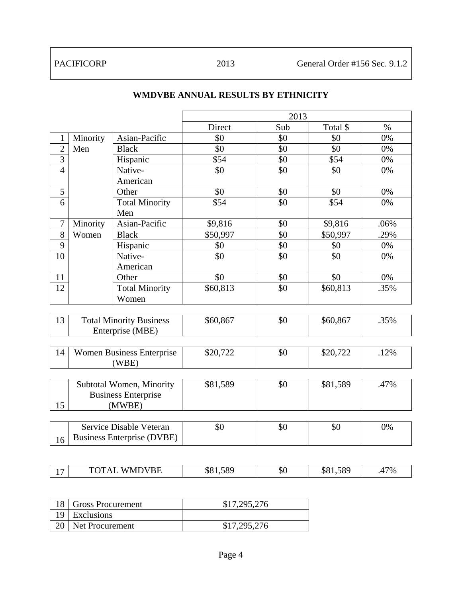|                |          |                                   | 2013     |     |          |      |  |  |
|----------------|----------|-----------------------------------|----------|-----|----------|------|--|--|
|                |          |                                   | Direct   | Sub | Total \$ | $\%$ |  |  |
| 1              | Minority | Asian-Pacific                     | \$0      | \$0 | \$0      | 0%   |  |  |
| $\overline{2}$ | Men      | <b>Black</b>                      | \$0      | \$0 | \$0      | 0%   |  |  |
| $\overline{3}$ |          | Hispanic                          | \$54     | \$0 | \$54     | 0%   |  |  |
| $\overline{4}$ |          | Native-                           | \$0      | \$0 | \$0      | 0%   |  |  |
|                |          | American                          |          |     |          |      |  |  |
| 5              |          | Other                             | \$0      | \$0 | \$0      | 0%   |  |  |
| 6              |          | <b>Total Minority</b><br>Men      | \$54     | \$0 | \$54     | 0%   |  |  |
| $\overline{7}$ | Minority | Asian-Pacific                     | \$9,816  | \$0 | \$9,816  | .06% |  |  |
| 8              | Women    | <b>Black</b>                      | \$50,997 | \$0 | \$50,997 | .29% |  |  |
| 9              |          | Hispanic                          | \$0      | \$0 | \$0      | 0%   |  |  |
| 10             |          | Native-                           | \$0      | \$0 | \$0      | 0%   |  |  |
|                |          | American                          |          |     |          |      |  |  |
| 11             |          | Other                             | \$0      | \$0 | \$0      | 0%   |  |  |
| 12             |          | <b>Total Minority</b>             | \$60,813 | \$0 | \$60,813 | .35% |  |  |
|                |          | Women                             |          |     |          |      |  |  |
|                |          |                                   |          |     |          |      |  |  |
| 13             |          | <b>Total Minority Business</b>    | \$60,867 | \$0 | \$60,867 | .35% |  |  |
|                |          | Enterprise (MBE)                  |          |     |          |      |  |  |
|                |          |                                   |          |     |          |      |  |  |
| 14             |          | <b>Women Business Enterprise</b>  | \$20,722 | \$0 | \$20,722 | .12% |  |  |
|                |          | (WBE)                             |          |     |          |      |  |  |
|                |          | Subtotal Women, Minority          | \$81,589 | \$0 | \$81,589 | .47% |  |  |
|                |          | <b>Business Enterprise</b>        |          |     |          |      |  |  |
| 15             |          | (MWBE)                            |          |     |          |      |  |  |
|                |          |                                   |          |     |          |      |  |  |
|                |          | Service Disable Veteran           | \$0      | \$0 | \$0      | 0%   |  |  |
| 16             |          | <b>Business Enterprise (DVBE)</b> |          |     |          |      |  |  |
|                |          |                                   |          |     |          |      |  |  |

### **WMDVBE ANNUAL RESULTS BY ETHNICITY**

| 18 Gross Procurement | \$17,295,276 |
|----------------------|--------------|
| 19 Exclusions        |              |
| 20 Net Procurement   | \$17,295,276 |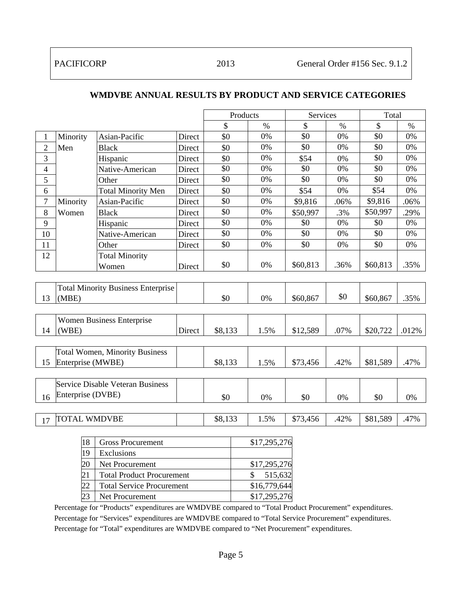13

# example 3 and 2 and 2 and 2 and 3 and 3 and 3 and 3 and 3 and 3 and 3 and 3 and 3 and 3 and 3 and 3 and 3 and 3 and 3 and 3 and 3 and 3 and 3 and 3 and 3 and 3 and 3 and 3 and 3 and 3 and 3 and 3 and 3 and 3 and 3 and 3 an \$ % \$ % \$ % 1 Minority Asian-Pacific Direct  $\begin{array}{|c|c|c|c|c|c|c|c|c|} \hline 1 & 0\% & 0\% & 0\% & 0\% \hline \end{array}$ 2 | Men | Black | Direct | \$0 | 0% | \$0 | 0% | \$0 | 0% 3 Hispanic Direct \$0 0% \$54 0% \$0 0% 4 | Native-American Direct | \$0 | 0% | \$0 | 0% | \$0 | 0% 5 Other Direct \$0 0% \$0 0% \$0 0% 50 0% 6 Total Minority Men Direct \$0 0% \$54 0% \$54 0% 7 | Minority | Asian-Pacific | Direct | \$0 | 0% | \$9,816 | .06% | \$9,816 | .06% 8 | Women | Black | Direct | \$0 | 0% | \$50,997 | .3% | \$50,997 | .29% 9 Hispanic Direct \$0 0% \$0 0% \$0 0% 0% 10 | Native-American | Direct | \$0 | 0% | \$0 | 0% | \$0 | 0% 11 Other Direct \$0 0% \$0 0% \$0 0% 12 | Total Minority Women  $\vert$ Direct  $\vert$  \$0  $\vert$  0%  $\vert$  \$60,813 .36%  $\vert$  \$60,813 .35% Total Minority Business Enterprise (MBE) \$0 0% \$60,867 \$0 \$60,867 .35%  $14$  (WBE) Women Business Enterprise (WBE) Direct | \$8,133 | 1.5% | \$12,589 | .07% | \$20,722 | .012% Total Women, Minority Business

| <b>WMDVBE ANNUAL RESULTS BY PRODUCT AND SERVICE CATEGORIES</b> |  |  |
|----------------------------------------------------------------|--|--|
|                                                                |  |  |

| <b>Service Disable Veteran Business</b> |         |      |          |      |          |     |
|-----------------------------------------|---------|------|----------|------|----------|-----|
| Enterprise (DVBE)                       | \$0     | 0%   | \$0      | 0%   | \$0      | 0%  |
|                                         |         |      |          |      |          |     |
| <b>TOTAL WMDVBE</b>                     | \$8,133 | 1.5% | \$73,456 | .42% | \$81,589 | 47% |

15 Enterprise (MWBE) | \$8,133 | 1.5% | \$73,456 | .42% | \$81,589 | .47%

|    | <b>Gross Procurement</b>         | \$17,295,276 |
|----|----------------------------------|--------------|
| 19 | Exclusions                       |              |
|    | Net Procurement                  | \$17,295,276 |
|    | <b>Total Product Procurement</b> | 515,632      |
|    | <b>Total Service Procurement</b> | \$16,779,644 |
|    | Net Procurement                  | \$17,295,276 |

Percentage for "Products" expenditures are WMDVBE compared to "Total Product Procurement" expenditures. Percentage for "Services" expenditures are WMDVBE compared to "Total Service Procurement" expenditures. Percentage for "Total" expenditures are WMDVBE compared to "Net Procurement" expenditures.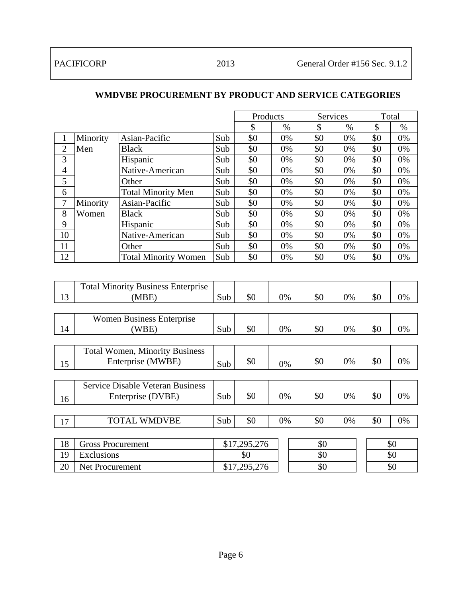# **WMDVBE PROCUREMENT BY PRODUCT AND SERVICE CATEGORIES**

|                |          |                             | Products |     | <b>Services</b> |     | Total |     |      |
|----------------|----------|-----------------------------|----------|-----|-----------------|-----|-------|-----|------|
|                |          |                             |          | \$  | $\%$            | \$  | $\%$  | \$  | $\%$ |
|                | Minority | Asian-Pacific               | Sub      | \$0 | 0%              | \$0 | 0%    | \$0 | 0%   |
| $\overline{2}$ | Men      | <b>Black</b>                | Sub      | \$0 | 0%              | \$0 | 0%    | \$0 | 0%   |
| 3              |          | Hispanic                    | Sub      | \$0 | 0%              | \$0 | 0%    | \$0 | 0%   |
| $\overline{4}$ |          | Native-American             | Sub      | \$0 | 0%              | \$0 | 0%    | \$0 | 0%   |
| 5              |          | Other                       | Sub      | \$0 | 0%              | \$0 | 0%    | \$0 | 0%   |
| 6              |          | <b>Total Minority Men</b>   | Sub      | \$0 | 0%              | \$0 | 0%    | \$0 | 0%   |
| 7              | Minority | Asian-Pacific               | Sub      | \$0 | 0%              | \$0 | 0%    | \$0 | 0%   |
| 8              | Women    | <b>Black</b>                | Sub      | \$0 | 0%              | \$0 | 0%    | \$0 | 0%   |
| 9              |          | Hispanic                    | Sub      | \$0 | 0%              | \$0 | 0%    | \$0 | 0%   |
| 10             |          | Native-American             | Sub      | \$0 | 0%              | \$0 | 0%    | \$0 | 0%   |
| 11             |          | Other                       | Sub      | \$0 | 0%              | \$0 | 0%    | \$0 | 0%   |
| 12             |          | <b>Total Minority Women</b> | Sub      | \$0 | 0%              | \$0 | 0%    | \$0 | 0%   |
|                |          |                             |          |     |                 |     |       |     |      |

|    | <b>Total Minority Business Enterprise</b> |     |              |    |     |    |     |     |
|----|-------------------------------------------|-----|--------------|----|-----|----|-----|-----|
| 13 | (MBE)                                     | Sub | \$0          | 0% | \$0 | 0% | \$0 | 0%  |
|    |                                           |     |              |    |     |    |     |     |
|    | <b>Women Business Enterprise</b>          |     |              |    |     |    |     |     |
| 14 | (WBE)                                     | Sub | \$0          | 0% | \$0 | 0% | \$0 | 0%  |
|    |                                           |     |              |    |     |    |     |     |
|    | <b>Total Women, Minority Business</b>     |     |              |    |     |    |     |     |
| 15 | Enterprise (MWBE)                         | Sub | \$0          | 0% | \$0 | 0% | \$0 | 0%  |
|    |                                           |     |              |    |     |    |     |     |
|    | <b>Service Disable Veteran Business</b>   |     |              |    |     |    |     |     |
| 16 | Enterprise (DVBE)                         | Sub | \$0          | 0% | \$0 | 0% | \$0 | 0%  |
|    |                                           |     |              |    |     |    |     |     |
| 17 | <b>TOTAL WMDVBE</b>                       | Sub | \$0          | 0% | \$0 | 0% | \$0 | 0%  |
|    |                                           |     |              |    |     |    |     |     |
| 18 | <b>Gross Procurement</b>                  |     | \$17,295,276 |    | \$0 |    |     | \$0 |
| 19 | Exclusions                                |     | \$0          |    | \$0 |    |     | \$0 |
| 20 | Net Procurement                           |     | \$17,295,276 |    | \$0 |    |     | \$0 |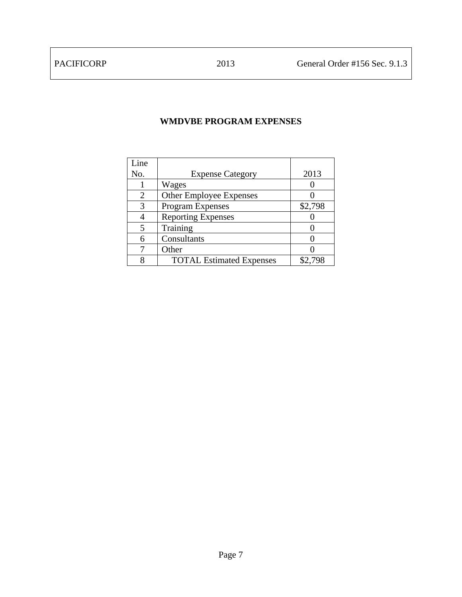# **WMDVBE PROGRAM EXPENSES**

| Line |                                 |         |
|------|---------------------------------|---------|
| No.  | <b>Expense Category</b>         | 2013    |
|      | Wages                           |         |
| 2    | Other Employee Expenses         |         |
| 3    | Program Expenses                | \$2,798 |
|      | <b>Reporting Expenses</b>       |         |
|      | Training                        |         |
|      | Consultants                     |         |
|      | Other                           |         |
| Q    | <b>TOTAL Estimated Expenses</b> | \$2,798 |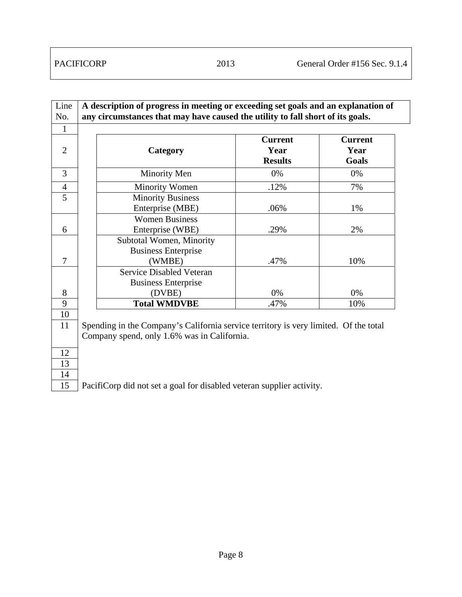| Line<br>No.    | A description of progress in meeting or exceeding set goals and an explanation of<br>any circumstances that may have caused the utility to fall short of its goals. |                                          |                                 |
|----------------|---------------------------------------------------------------------------------------------------------------------------------------------------------------------|------------------------------------------|---------------------------------|
| $\mathbf{1}$   |                                                                                                                                                                     |                                          |                                 |
| $\overline{2}$ | Category                                                                                                                                                            | <b>Current</b><br>Year<br><b>Results</b> | <b>Current</b><br>Year<br>Goals |
| 3              | Minority Men                                                                                                                                                        | 0%                                       | 0%                              |
| $\overline{4}$ | <b>Minority Women</b>                                                                                                                                               | .12%                                     | 7%                              |
| 5              | <b>Minority Business</b><br>Enterprise (MBE)                                                                                                                        | .06%                                     | 1%                              |
| 6              | <b>Women Business</b><br>Enterprise (WBE)                                                                                                                           | .29%                                     | 2%                              |
| $\overline{7}$ | Subtotal Women, Minority<br><b>Business Enterprise</b><br>(WMBE)                                                                                                    | .47%                                     | 10%                             |
| 8              | <b>Service Disabled Veteran</b><br><b>Business Enterprise</b><br>(DVBE)                                                                                             | 0%                                       | 0%                              |
| 9              | <b>Total WMDVBE</b>                                                                                                                                                 | .47%                                     | 10%                             |
| 10<br>11       | Spending in the Company's California service territory is very limited. Of the total<br>Company spend, only 1.6% was in California.                                 |                                          |                                 |
| 12<br>13       |                                                                                                                                                                     |                                          |                                 |
| 14<br>15       | PacifiCorp did not set a goal for disabled veteran supplier activity.                                                                                               |                                          |                                 |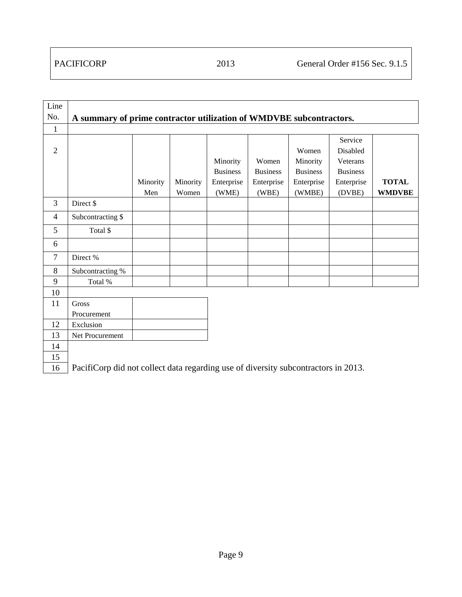| Line           |                                                                                          |          |          |                 |                 |                 |                 |               |
|----------------|------------------------------------------------------------------------------------------|----------|----------|-----------------|-----------------|-----------------|-----------------|---------------|
| No.            | A summary of prime contractor utilization of WMDVBE subcontractors.                      |          |          |                 |                 |                 |                 |               |
| $\mathbf{1}$   |                                                                                          |          |          |                 |                 |                 |                 |               |
|                |                                                                                          |          |          |                 |                 |                 | Service         |               |
| $\overline{2}$ |                                                                                          |          |          |                 |                 | Women           | Disabled        |               |
|                |                                                                                          |          |          | Minority        | Women           | Minority        | Veterans        |               |
|                |                                                                                          |          |          | <b>Business</b> | <b>Business</b> | <b>Business</b> | <b>Business</b> |               |
|                |                                                                                          | Minority | Minority | Enterprise      | Enterprise      | Enterprise      | Enterprise      | <b>TOTAL</b>  |
|                |                                                                                          | Men      | Women    | (WME)           | (WBE)           | (WMBE)          | (DVBE)          | <b>WMDVBE</b> |
| $\overline{3}$ | Direct \$                                                                                |          |          |                 |                 |                 |                 |               |
| $\overline{4}$ | Subcontracting \$                                                                        |          |          |                 |                 |                 |                 |               |
| 5              | Total \$                                                                                 |          |          |                 |                 |                 |                 |               |
| 6              |                                                                                          |          |          |                 |                 |                 |                 |               |
| 7              | Direct %                                                                                 |          |          |                 |                 |                 |                 |               |
| $8\,$          | Subcontracting %                                                                         |          |          |                 |                 |                 |                 |               |
| 9              | Total %                                                                                  |          |          |                 |                 |                 |                 |               |
| 10             |                                                                                          |          |          |                 |                 |                 |                 |               |
| 11             | Gross                                                                                    |          |          |                 |                 |                 |                 |               |
|                | Procurement                                                                              |          |          |                 |                 |                 |                 |               |
| 12             | Exclusion                                                                                |          |          |                 |                 |                 |                 |               |
| 13             | Net Procurement                                                                          |          |          |                 |                 |                 |                 |               |
| 14             |                                                                                          |          |          |                 |                 |                 |                 |               |
| 15             |                                                                                          |          |          |                 |                 |                 |                 |               |
| 16             | <u>Docificare did not collect data regarding use of diversity subcontractors in 2012</u> |          |          |                 |                 |                 |                 |               |

16 PacifiCorp did not collect data regarding use of diversity subcontractors in 2013.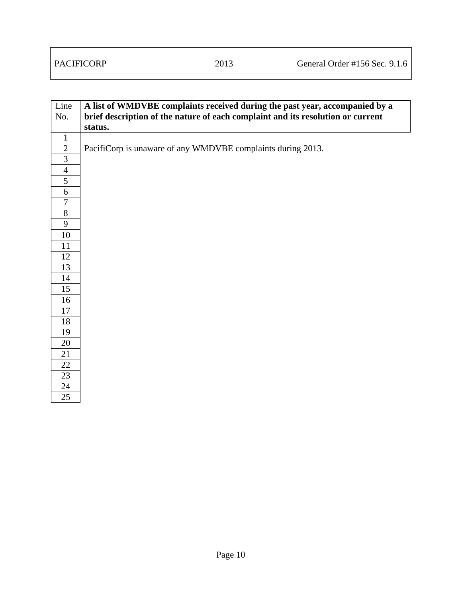| Line           | A list of WMDVBE complaints received during the past year, accompanied by a     |
|----------------|---------------------------------------------------------------------------------|
| No.            | brief description of the nature of each complaint and its resolution or current |
|                | status.                                                                         |
| $\mathbf{1}$   |                                                                                 |
| $\overline{2}$ | PacifiCorp is unaware of any WMDVBE complaints during 2013.                     |
| 3              |                                                                                 |
| $\overline{4}$ |                                                                                 |
| 5              |                                                                                 |
| 6              |                                                                                 |
| $\overline{7}$ |                                                                                 |
| 8              |                                                                                 |
| 9              |                                                                                 |
| 10             |                                                                                 |
| 11             |                                                                                 |
| 12             |                                                                                 |
| 13             |                                                                                 |
| 14             |                                                                                 |
| 15             |                                                                                 |
| 16             |                                                                                 |
| 17             |                                                                                 |
| 18             |                                                                                 |
| 19             |                                                                                 |
| 20             |                                                                                 |
| 21             |                                                                                 |
| 22             |                                                                                 |
| 23             |                                                                                 |
| 24             |                                                                                 |
| 25             |                                                                                 |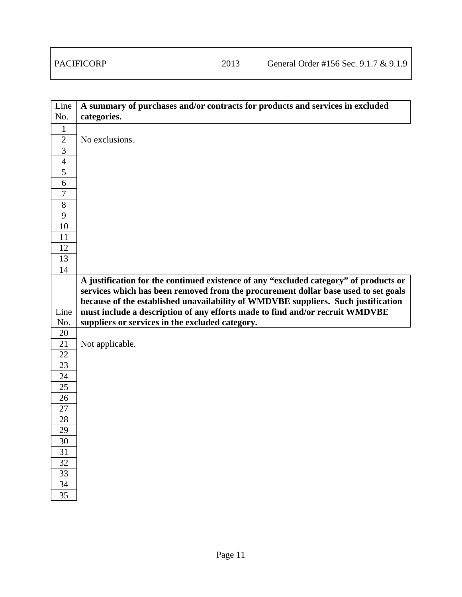| Line           | A summary of purchases and/or contracts for products and services in excluded         |
|----------------|---------------------------------------------------------------------------------------|
| No.            | categories.                                                                           |
| $\mathbf{1}$   |                                                                                       |
| $\overline{2}$ | No exclusions.                                                                        |
| 3              |                                                                                       |
| $\overline{4}$ |                                                                                       |
| 5              |                                                                                       |
| 6              |                                                                                       |
| $\overline{7}$ |                                                                                       |
| 8              |                                                                                       |
| 9              |                                                                                       |
| 10             |                                                                                       |
| 11             |                                                                                       |
| 12             |                                                                                       |
| 13             |                                                                                       |
| 14             |                                                                                       |
|                | A justification for the continued existence of any "excluded category" of products or |
|                | services which has been removed from the procurement dollar base used to set goals    |
|                | because of the established unavailability of WMDVBE suppliers. Such justification     |
| Line           | must include a description of any efforts made to find and/or recruit WMDVBE          |
| No.            | suppliers or services in the excluded category.                                       |
| 20             |                                                                                       |
| 21             | Not applicable.                                                                       |
| 22             |                                                                                       |
| 23             |                                                                                       |
| 24             |                                                                                       |
| 25             |                                                                                       |
| 26             |                                                                                       |
| 27             |                                                                                       |
| $28\,$         |                                                                                       |
| 29             |                                                                                       |
| 30             |                                                                                       |
| 31<br>32       |                                                                                       |
| 33             |                                                                                       |
| 34             |                                                                                       |
| 35             |                                                                                       |
|                |                                                                                       |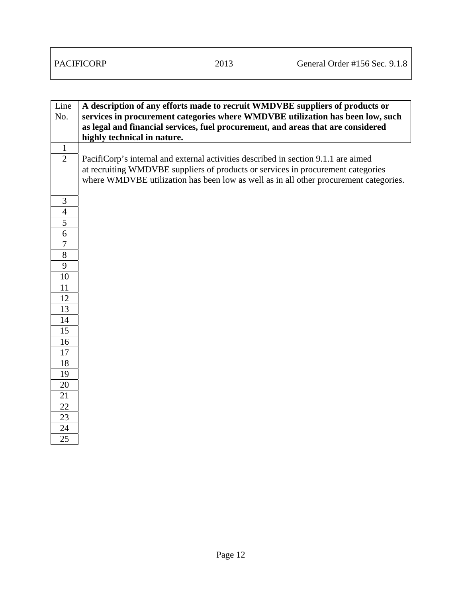| Line           | A description of any efforts made to recruit WMDVBE suppliers of products or                                                                                                                                                                                    |
|----------------|-----------------------------------------------------------------------------------------------------------------------------------------------------------------------------------------------------------------------------------------------------------------|
| No.            | services in procurement categories where WMDVBE utilization has been low, such                                                                                                                                                                                  |
|                | as legal and financial services, fuel procurement, and areas that are considered                                                                                                                                                                                |
|                | highly technical in nature.                                                                                                                                                                                                                                     |
| $\mathbf{1}$   |                                                                                                                                                                                                                                                                 |
| $\overline{2}$ | PacifiCorp's internal and external activities described in section 9.1.1 are aimed<br>at recruiting WMDVBE suppliers of products or services in procurement categories<br>where WMDVBE utilization has been low as well as in all other procurement categories. |
| 3              |                                                                                                                                                                                                                                                                 |
| $\overline{4}$ |                                                                                                                                                                                                                                                                 |
| $\overline{5}$ |                                                                                                                                                                                                                                                                 |
| 6              |                                                                                                                                                                                                                                                                 |
| $\overline{7}$ |                                                                                                                                                                                                                                                                 |
| 8              |                                                                                                                                                                                                                                                                 |
| 9              |                                                                                                                                                                                                                                                                 |
| 10             |                                                                                                                                                                                                                                                                 |
| 11             |                                                                                                                                                                                                                                                                 |
| 12             |                                                                                                                                                                                                                                                                 |
| 13             |                                                                                                                                                                                                                                                                 |
| 14             |                                                                                                                                                                                                                                                                 |
| 15             |                                                                                                                                                                                                                                                                 |
| 16             |                                                                                                                                                                                                                                                                 |
| 17             |                                                                                                                                                                                                                                                                 |
| 18             |                                                                                                                                                                                                                                                                 |
| 19             |                                                                                                                                                                                                                                                                 |
| 20             |                                                                                                                                                                                                                                                                 |
| 21             |                                                                                                                                                                                                                                                                 |
| 22             |                                                                                                                                                                                                                                                                 |
| 23             |                                                                                                                                                                                                                                                                 |
| 24             |                                                                                                                                                                                                                                                                 |
| 25             |                                                                                                                                                                                                                                                                 |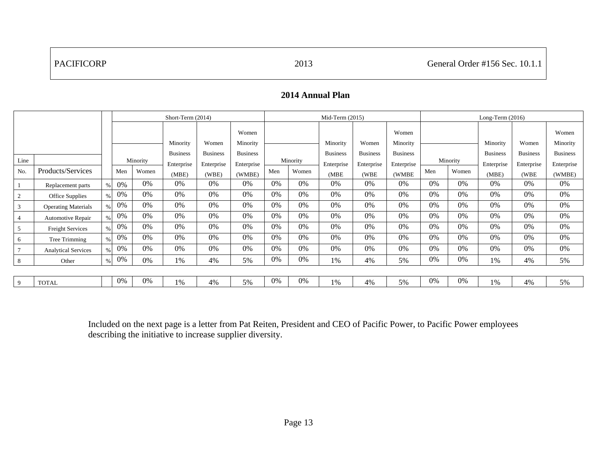|      |                            |               |     |          | Short-Term (2014) |                 |                 |       | Mid-Term (2015) |                 |                 |                 | Long-Term $(2016)$ |          |                 |                 |                 |
|------|----------------------------|---------------|-----|----------|-------------------|-----------------|-----------------|-------|-----------------|-----------------|-----------------|-----------------|--------------------|----------|-----------------|-----------------|-----------------|
|      |                            |               |     |          |                   |                 | Women           |       |                 |                 |                 | Women           |                    |          |                 |                 | Women           |
|      |                            |               |     |          | Minority          | Women           | Minority        |       |                 | Minority        | Women           | Minority        |                    |          | Minority        | Women           | Minority        |
|      |                            |               |     |          | <b>Business</b>   | <b>Business</b> | <b>Business</b> |       |                 | <b>Business</b> | <b>Business</b> | <b>Business</b> |                    |          | <b>Business</b> | <b>Business</b> | <b>Business</b> |
| Line |                            |               |     | Minority | Enterprise        | Enterprise      | Enterprise      |       | Minority        | Enterprise      | Enterprise      | Enterprise      |                    | Minority | Enterprise      | Enterprise      | Enterprise      |
| No.  | Products/Services          |               | Men | Women    | (MBE)             | (WBE)           | (WMBE)          | Men   | Women           | (MBE)           | (WBE            | (WMBE           | Men                | Women    | (MBE)           | (WBE            | (WMBE)          |
|      | Replacement parts          |               | 0%  | 0%       | 0%                | 0%              | 0%              | 0%    | 0%              | 0%              | 0%              | 0%              | 0%                 | 0%       | 0%              | 0%              | $0\%$           |
|      | Office Supplies            |               | 0%  | $0\%$    | 0%                | 0%              | 0%              | 0%    | 0%              | 0%              | 0%              | $0\%$           | 0%                 | 0%       | $0\%$           | 0%              | 0%              |
| 3    | <b>Operating Materials</b> |               | 0%  | 0%       | 0%                | 0%              | 0%              | 0%    | 0%              | 0%              | 0%              | 0%              | 0%                 | 0%       | 0%              | 0%              | 0%              |
| 4    | Automotive Repair          |               | 0%  | 0%       | 0%                | 0%              | 0%              | 0%    | 0%              | 0%              | 0%              | $0\%$           | 0%                 | 0%       | 0%              | 0%              | 0%              |
| 5    | <b>Freight Services</b>    | $\frac{0}{0}$ | 0%  | 0%       | 0%                | 0%              | 0%              | 0%    | 0%              | 0%              | 0%              | 0%              | 0%                 | 0%       | 0%              | 0%              | 0%              |
| 6    | Tree Trimming              | $\%$          | 0%  | $0\%$    | 0%                | 0%              | $0\%$           | $0\%$ | 0%              | 0%              | $0\%$           | $0\%$           | $0\%$              | 0%       | $0\%$           | 0%              | $0\%$           |
|      | <b>Analytical Services</b> | $\frac{0}{0}$ | 0%  | 0%       | 0%                | 0%              | 0%              | 0%    | 0%              | 0%              | 0%              | 0%              | 0%                 | 0%       | 0%              | 0%              | 0%              |
| 8    | Other                      | $\%$          | 0%  | 0%       | 1%                | 4%              | 5%              | $0\%$ | 0%              | 1%              | 4%              | 5%              | 0%                 | 0%       | 1%              | 4%              | 5%              |
|      |                            |               |     |          |                   |                 |                 |       |                 |                 |                 |                 |                    |          |                 |                 |                 |
| 9    | <b>TOTAL</b>               |               | 0%  | $0\%$    | 1%                | 4%              | 5%              | 0%    | 0%              | $1\%$           | 4%              | 5%              | 0%                 | 0%       | $1\%$           | 4%              | 5%              |

# **2014 Annual Plan**

Included on the next page is a letter from Pat Reiten, President and CEO of Pacific Power, to Pacific Power employees describing the initiative to increase supplier diversity.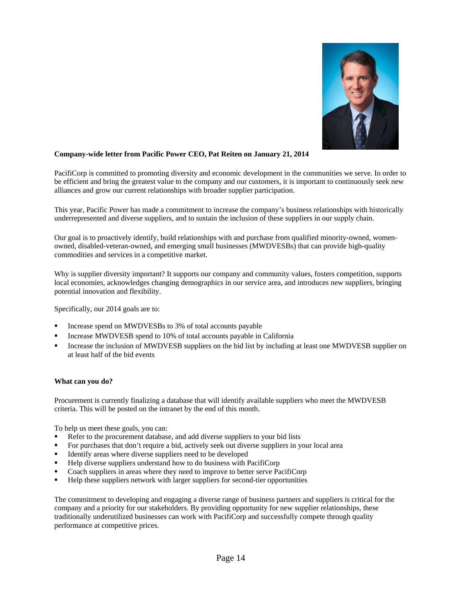

#### **Company-wide letter from Pacific Power CEO, Pat Reiten on January 21, 2014**

PacifiCorp is committed to promoting diversity and economic development in the communities we serve. In order to be efficient and bring the greatest value to the company and our customers, it is important to continuously seek new alliances and grow our current relationships with broader supplier participation.

This year, Pacific Power has made a commitment to increase the company's business relationships with historically underrepresented and diverse suppliers, and to sustain the inclusion of these suppliers in our supply chain.

Our goal is to proactively identify, build relationships with and purchase from qualified minority-owned, womenowned, disabled-veteran-owned, and emerging small businesses (MWDVESBs) that can provide high-quality commodities and services in a competitive market.

Why is supplier diversity important? It supports our company and community values, fosters competition, supports local economies, acknowledges changing demographics in our service area, and introduces new suppliers, bringing potential innovation and flexibility.

Specifically, our 2014 goals are to:

- Increase spend on MWDVESBs to 3% of total accounts payable
- Increase MWDVESB spend to 10% of total accounts payable in California
- Increase the inclusion of MWDVESB suppliers on the bid list by including at least one MWDVESB supplier on at least half of the bid events

#### **What can you do?**

Procurement is currently finalizing a database that will identify available suppliers who meet the MWDVESB criteria. This will be posted on the intranet by the end of this month.

To help us meet these goals, you can:

- Refer to the procurement database, and add diverse suppliers to your bid lists
- For purchases that don't require a bid, actively seek out diverse suppliers in your local area
- Identify areas where diverse suppliers need to be developed
- Help diverse suppliers understand how to do business with PacifiCorp
- Coach suppliers in areas where they need to improve to better serve PacifiCorp
- Help these suppliers network with larger suppliers for second-tier opportunities

The commitment to developing and engaging a diverse range of business partners and suppliers is critical for the company and a priority for our stakeholders. By providing opportunity for new supplier relationships, these traditionally underutilized businesses can work with PacifiCorp and successfully compete through quality performance at competitive prices.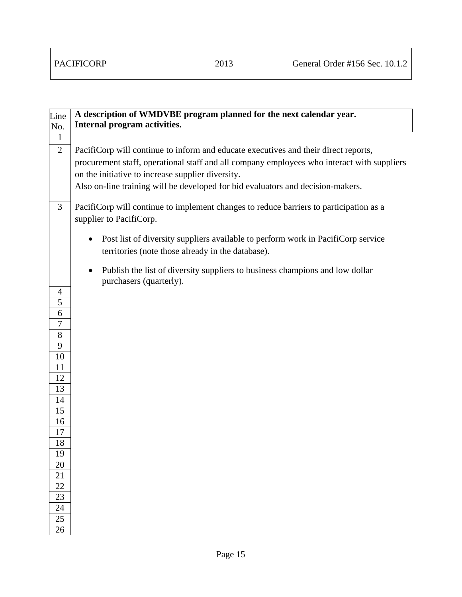| Line<br>No.         | A description of WMDVBE program planned for the next calendar year.<br>Internal program activities.                                                                                                                                                                                                                       |
|---------------------|---------------------------------------------------------------------------------------------------------------------------------------------------------------------------------------------------------------------------------------------------------------------------------------------------------------------------|
| $\mathbf{1}$        |                                                                                                                                                                                                                                                                                                                           |
| $\overline{2}$      | PacifiCorp will continue to inform and educate executives and their direct reports,<br>procurement staff, operational staff and all company employees who interact with suppliers<br>on the initiative to increase supplier diversity.<br>Also on-line training will be developed for bid evaluators and decision-makers. |
| 3                   | PacifiCorp will continue to implement changes to reduce barriers to participation as a<br>supplier to PacifiCorp.                                                                                                                                                                                                         |
|                     | Post list of diversity suppliers available to perform work in PacifiCorp service<br>$\bullet$<br>territories (note those already in the database).                                                                                                                                                                        |
|                     | Publish the list of diversity suppliers to business champions and low dollar<br>$\bullet$<br>purchasers (quarterly).                                                                                                                                                                                                      |
| 4                   |                                                                                                                                                                                                                                                                                                                           |
| 5                   |                                                                                                                                                                                                                                                                                                                           |
| 6<br>$\overline{7}$ |                                                                                                                                                                                                                                                                                                                           |
| $8\,$               |                                                                                                                                                                                                                                                                                                                           |
| 9                   |                                                                                                                                                                                                                                                                                                                           |
| 10                  |                                                                                                                                                                                                                                                                                                                           |
| 11                  |                                                                                                                                                                                                                                                                                                                           |
| 12                  |                                                                                                                                                                                                                                                                                                                           |
| 13                  |                                                                                                                                                                                                                                                                                                                           |
| 14                  |                                                                                                                                                                                                                                                                                                                           |
| 15                  |                                                                                                                                                                                                                                                                                                                           |
| 16<br>17            |                                                                                                                                                                                                                                                                                                                           |
| 18                  |                                                                                                                                                                                                                                                                                                                           |
| 19                  |                                                                                                                                                                                                                                                                                                                           |
| 20                  |                                                                                                                                                                                                                                                                                                                           |
| 21                  |                                                                                                                                                                                                                                                                                                                           |
| 22                  |                                                                                                                                                                                                                                                                                                                           |
| 23                  |                                                                                                                                                                                                                                                                                                                           |
| 24                  |                                                                                                                                                                                                                                                                                                                           |
| 25                  |                                                                                                                                                                                                                                                                                                                           |
| 26                  |                                                                                                                                                                                                                                                                                                                           |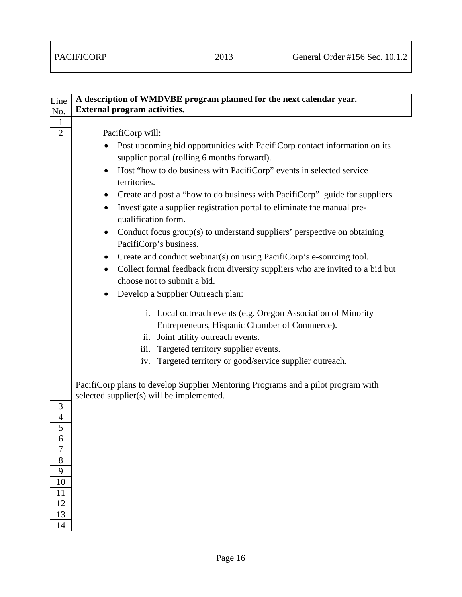| A description of WMDVBE program planned for the next calendar year.                                               |  |  |  |  |  |  |  |  |
|-------------------------------------------------------------------------------------------------------------------|--|--|--|--|--|--|--|--|
| <b>External program activities.</b>                                                                               |  |  |  |  |  |  |  |  |
|                                                                                                                   |  |  |  |  |  |  |  |  |
| PacifiCorp will:                                                                                                  |  |  |  |  |  |  |  |  |
| Post upcoming bid opportunities with PacifiCorp contact information on its<br>$\bullet$                           |  |  |  |  |  |  |  |  |
| supplier portal (rolling 6 months forward).                                                                       |  |  |  |  |  |  |  |  |
| Host "how to do business with PacifiCorp" events in selected service<br>territories.                              |  |  |  |  |  |  |  |  |
| Create and post a "how to do business with PacifiCorp" guide for suppliers.                                       |  |  |  |  |  |  |  |  |
| Investigate a supplier registration portal to eliminate the manual pre-<br>qualification form.                    |  |  |  |  |  |  |  |  |
| Conduct focus group(s) to understand suppliers' perspective on obtaining<br>$\bullet$<br>PacifiCorp's business.   |  |  |  |  |  |  |  |  |
| Create and conduct webinar(s) on using PacifiCorp's e-sourcing tool.<br>$\bullet$                                 |  |  |  |  |  |  |  |  |
| Collect formal feedback from diversity suppliers who are invited to a bid but<br>٠<br>choose not to submit a bid. |  |  |  |  |  |  |  |  |
|                                                                                                                   |  |  |  |  |  |  |  |  |
| Develop a Supplier Outreach plan:                                                                                 |  |  |  |  |  |  |  |  |
| i. Local outreach events (e.g. Oregon Association of Minority                                                     |  |  |  |  |  |  |  |  |
| Entrepreneurs, Hispanic Chamber of Commerce).                                                                     |  |  |  |  |  |  |  |  |
| Joint utility outreach events.<br>ii.                                                                             |  |  |  |  |  |  |  |  |
| Targeted territory supplier events.<br>iii.                                                                       |  |  |  |  |  |  |  |  |
| Targeted territory or good/service supplier outreach.<br>iv.                                                      |  |  |  |  |  |  |  |  |
|                                                                                                                   |  |  |  |  |  |  |  |  |
| PacifiCorp plans to develop Supplier Mentoring Programs and a pilot program with                                  |  |  |  |  |  |  |  |  |
| selected supplier(s) will be implemented.                                                                         |  |  |  |  |  |  |  |  |
|                                                                                                                   |  |  |  |  |  |  |  |  |
|                                                                                                                   |  |  |  |  |  |  |  |  |
|                                                                                                                   |  |  |  |  |  |  |  |  |
|                                                                                                                   |  |  |  |  |  |  |  |  |
|                                                                                                                   |  |  |  |  |  |  |  |  |
|                                                                                                                   |  |  |  |  |  |  |  |  |
|                                                                                                                   |  |  |  |  |  |  |  |  |
|                                                                                                                   |  |  |  |  |  |  |  |  |
|                                                                                                                   |  |  |  |  |  |  |  |  |
|                                                                                                                   |  |  |  |  |  |  |  |  |
|                                                                                                                   |  |  |  |  |  |  |  |  |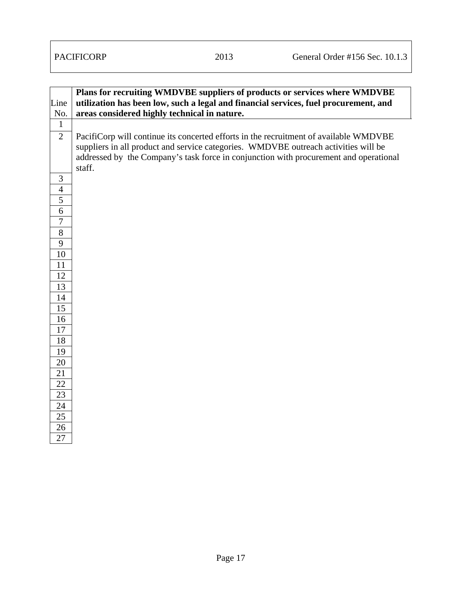| utilization has been low, such a legal and financial services, fuel procurement, and<br>Line<br>areas considered highly technical in nature.<br>No.<br>$\mathbf{1}$<br>$\overline{2}$<br>PacifiCorp will continue its concerted efforts in the recruitment of available WMDVBE<br>suppliers in all product and service categories. WMDVBE outreach activities will be |  |
|-----------------------------------------------------------------------------------------------------------------------------------------------------------------------------------------------------------------------------------------------------------------------------------------------------------------------------------------------------------------------|--|
|                                                                                                                                                                                                                                                                                                                                                                       |  |
|                                                                                                                                                                                                                                                                                                                                                                       |  |
|                                                                                                                                                                                                                                                                                                                                                                       |  |
| addressed by the Company's task force in conjunction with procurement and operational<br>staff.                                                                                                                                                                                                                                                                       |  |
| 3                                                                                                                                                                                                                                                                                                                                                                     |  |
| $\overline{4}$                                                                                                                                                                                                                                                                                                                                                        |  |
| 5                                                                                                                                                                                                                                                                                                                                                                     |  |
| 6                                                                                                                                                                                                                                                                                                                                                                     |  |
| $\overline{7}$                                                                                                                                                                                                                                                                                                                                                        |  |
| $\overline{8}$                                                                                                                                                                                                                                                                                                                                                        |  |
| $\boldsymbol{9}$                                                                                                                                                                                                                                                                                                                                                      |  |
| 10                                                                                                                                                                                                                                                                                                                                                                    |  |
| 11                                                                                                                                                                                                                                                                                                                                                                    |  |
| 12                                                                                                                                                                                                                                                                                                                                                                    |  |
| 13                                                                                                                                                                                                                                                                                                                                                                    |  |
| 14                                                                                                                                                                                                                                                                                                                                                                    |  |
| 15                                                                                                                                                                                                                                                                                                                                                                    |  |
| 16                                                                                                                                                                                                                                                                                                                                                                    |  |
| 17                                                                                                                                                                                                                                                                                                                                                                    |  |
| 18                                                                                                                                                                                                                                                                                                                                                                    |  |
| 19                                                                                                                                                                                                                                                                                                                                                                    |  |
| 20                                                                                                                                                                                                                                                                                                                                                                    |  |
| 21                                                                                                                                                                                                                                                                                                                                                                    |  |
| 22                                                                                                                                                                                                                                                                                                                                                                    |  |
| 23                                                                                                                                                                                                                                                                                                                                                                    |  |
| 24                                                                                                                                                                                                                                                                                                                                                                    |  |
| 25                                                                                                                                                                                                                                                                                                                                                                    |  |
| 26                                                                                                                                                                                                                                                                                                                                                                    |  |
| 27                                                                                                                                                                                                                                                                                                                                                                    |  |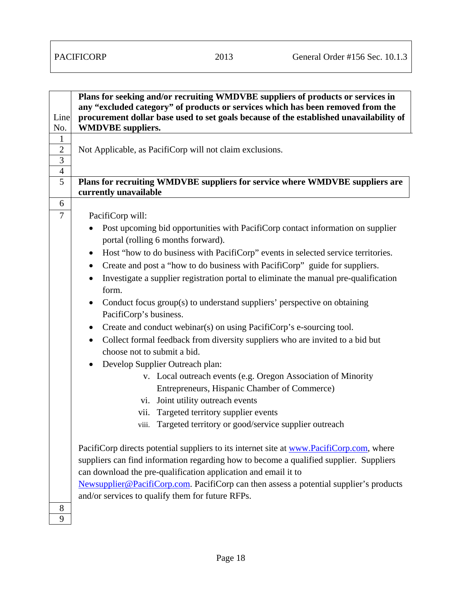9

|                  | Plans for seeking and/or recruiting WMDVBE suppliers of products or services in                                                                                                                                                                                                                                                                |
|------------------|------------------------------------------------------------------------------------------------------------------------------------------------------------------------------------------------------------------------------------------------------------------------------------------------------------------------------------------------|
|                  | any "excluded category" of products or services which has been removed from the                                                                                                                                                                                                                                                                |
| Line             | procurement dollar base used to set goals because of the established unavailability of                                                                                                                                                                                                                                                         |
| No.              | <b>WMDVBE</b> suppliers.                                                                                                                                                                                                                                                                                                                       |
| $\mathbf{1}$     |                                                                                                                                                                                                                                                                                                                                                |
| $\sqrt{2}$<br>3  | Not Applicable, as PacifiCorp will not claim exclusions.                                                                                                                                                                                                                                                                                       |
| $\overline{4}$   |                                                                                                                                                                                                                                                                                                                                                |
| 5                | Plans for recruiting WMDVBE suppliers for service where WMDVBE suppliers are                                                                                                                                                                                                                                                                   |
|                  | currently unavailable                                                                                                                                                                                                                                                                                                                          |
| 6                |                                                                                                                                                                                                                                                                                                                                                |
| $\boldsymbol{7}$ | PacifiCorp will:                                                                                                                                                                                                                                                                                                                               |
|                  | Post upcoming bid opportunities with PacifiCorp contact information on supplier<br>$\bullet$<br>portal (rolling 6 months forward).                                                                                                                                                                                                             |
|                  | Host "how to do business with PacifiCorp" events in selected service territories.<br>$\bullet$                                                                                                                                                                                                                                                 |
|                  | Create and post a "how to do business with PacifiCorp" guide for suppliers.<br>$\bullet$                                                                                                                                                                                                                                                       |
|                  | Investigate a supplier registration portal to eliminate the manual pre-qualification<br>$\bullet$<br>form.                                                                                                                                                                                                                                     |
|                  | Conduct focus group(s) to understand suppliers' perspective on obtaining<br>$\bullet$<br>PacifiCorp's business.                                                                                                                                                                                                                                |
|                  | Create and conduct webinar(s) on using PacifiCorp's e-sourcing tool.<br>$\bullet$                                                                                                                                                                                                                                                              |
|                  | Collect formal feedback from diversity suppliers who are invited to a bid but<br>$\bullet$<br>choose not to submit a bid.                                                                                                                                                                                                                      |
|                  | Develop Supplier Outreach plan:<br>$\bullet$                                                                                                                                                                                                                                                                                                   |
|                  |                                                                                                                                                                                                                                                                                                                                                |
|                  | v. Local outreach events (e.g. Oregon Association of Minority<br>Entrepreneurs, Hispanic Chamber of Commerce)                                                                                                                                                                                                                                  |
|                  | Joint utility outreach events<br>vi.                                                                                                                                                                                                                                                                                                           |
|                  | Targeted territory supplier events<br>vii.                                                                                                                                                                                                                                                                                                     |
|                  | Targeted territory or good/service supplier outreach<br>viii.                                                                                                                                                                                                                                                                                  |
|                  | PacifiCorp directs potential suppliers to its internet site at www.PacifiCorp.com, where<br>suppliers can find information regarding how to become a qualified supplier. Suppliers<br>can download the pre-qualification application and email it to<br>Newsupplier@PacifiCorp.com. PacifiCorp can then assess a potential supplier's products |
| 8                | and/or services to qualify them for future RFPs.                                                                                                                                                                                                                                                                                               |
|                  |                                                                                                                                                                                                                                                                                                                                                |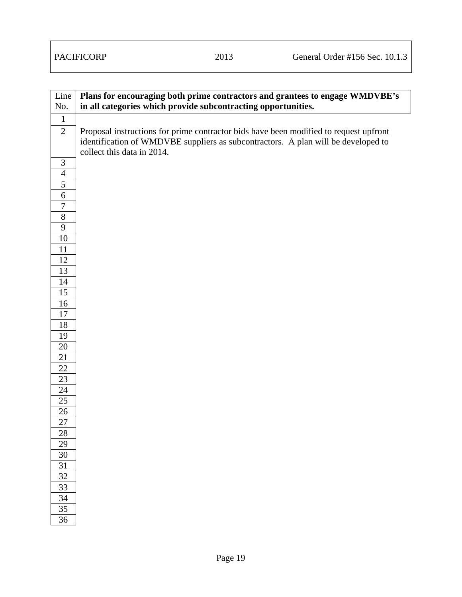| Line<br>No.      | Plans for encouraging both prime contractors and grantees to engage WMDVBE's<br>in all categories which provide subcontracting opportunities.                                                            |
|------------------|----------------------------------------------------------------------------------------------------------------------------------------------------------------------------------------------------------|
| $\mathbf{1}$     |                                                                                                                                                                                                          |
| $\overline{2}$   | Proposal instructions for prime contractor bids have been modified to request upfront<br>identification of WMDVBE suppliers as subcontractors. A plan will be developed to<br>collect this data in 2014. |
| 3                |                                                                                                                                                                                                          |
| $\overline{4}$   |                                                                                                                                                                                                          |
| $\overline{5}$   |                                                                                                                                                                                                          |
| 6                |                                                                                                                                                                                                          |
| $\boldsymbol{7}$ |                                                                                                                                                                                                          |
| $8\,$            |                                                                                                                                                                                                          |
| 9                |                                                                                                                                                                                                          |
| $10\,$           |                                                                                                                                                                                                          |
| 11               |                                                                                                                                                                                                          |
| 12               |                                                                                                                                                                                                          |
| 13               |                                                                                                                                                                                                          |
| 14               |                                                                                                                                                                                                          |
| 15               |                                                                                                                                                                                                          |
| 16               |                                                                                                                                                                                                          |
| 17               |                                                                                                                                                                                                          |
| 18               |                                                                                                                                                                                                          |
| 19               |                                                                                                                                                                                                          |
| 20               |                                                                                                                                                                                                          |
| 21<br>22         |                                                                                                                                                                                                          |
| 23               |                                                                                                                                                                                                          |
| 24               |                                                                                                                                                                                                          |
| 25               |                                                                                                                                                                                                          |
| 26               |                                                                                                                                                                                                          |
| 27               |                                                                                                                                                                                                          |
| 28               |                                                                                                                                                                                                          |
| 29               |                                                                                                                                                                                                          |
| 30               |                                                                                                                                                                                                          |
| 31               |                                                                                                                                                                                                          |
| 32               |                                                                                                                                                                                                          |
| 33               |                                                                                                                                                                                                          |
| 34               |                                                                                                                                                                                                          |
| 35               |                                                                                                                                                                                                          |
| 36               |                                                                                                                                                                                                          |
|                  |                                                                                                                                                                                                          |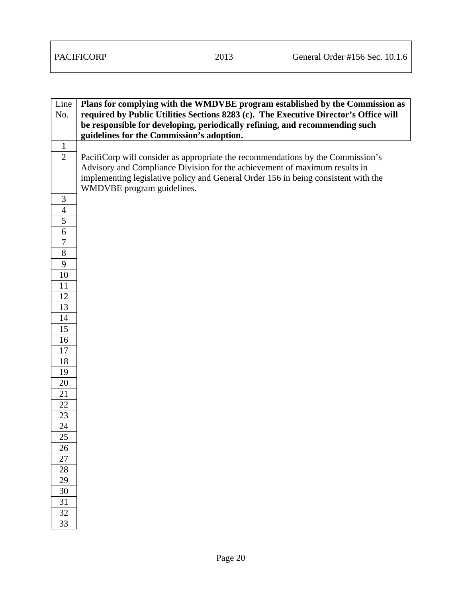| Line             | Plans for complying with the WMDVBE program established by the Commission as         |
|------------------|--------------------------------------------------------------------------------------|
| No.              | required by Public Utilities Sections 8283 (c). The Executive Director's Office will |
|                  | be responsible for developing, periodically refining, and recommending such          |
| $\mathbf{1}$     | guidelines for the Commission's adoption.                                            |
| $\overline{2}$   | PacifiCorp will consider as appropriate the recommendations by the Commission's      |
|                  | Advisory and Compliance Division for the achievement of maximum results in           |
|                  | implementing legislative policy and General Order 156 in being consistent with the   |
|                  | WMDVBE program guidelines.                                                           |
| 3                |                                                                                      |
| 4                |                                                                                      |
| 5                |                                                                                      |
| 6                |                                                                                      |
| $\boldsymbol{7}$ |                                                                                      |
| $8\,$            |                                                                                      |
| 9                |                                                                                      |
| 10               |                                                                                      |
| 11               |                                                                                      |
| 12               |                                                                                      |
| 13<br>14         |                                                                                      |
| 15               |                                                                                      |
| 16               |                                                                                      |
| 17               |                                                                                      |
| 18               |                                                                                      |
| 19               |                                                                                      |
| 20               |                                                                                      |
| 21               |                                                                                      |
| 22               |                                                                                      |
| 23               |                                                                                      |
| 24               |                                                                                      |
| 25               |                                                                                      |
| 26               |                                                                                      |
| 27               |                                                                                      |
| 28<br>29         |                                                                                      |
| 30               |                                                                                      |
| 31               |                                                                                      |
| 32               |                                                                                      |
| 33               |                                                                                      |
|                  |                                                                                      |